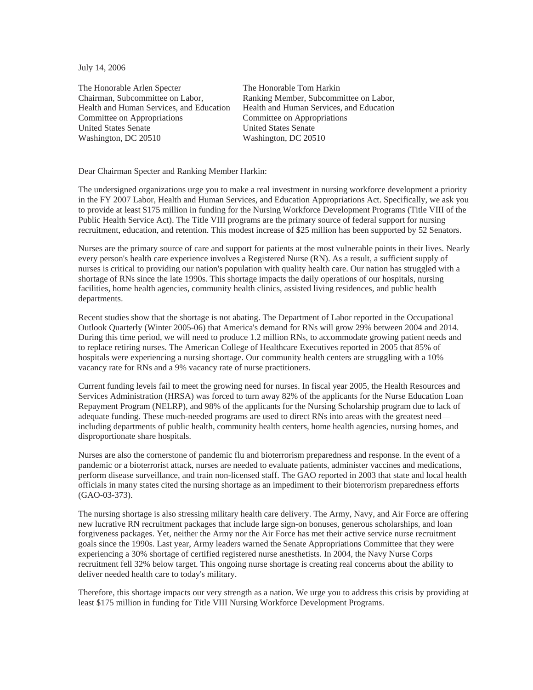July 14, 2006

The Honorable Arlen Specter Chairman, Subcommittee on Labor, Health and Human Services, and Education Committee on Appropriations United States Senate Washington, DC 20510

The Honorable Tom Harkin Ranking Member, Subcommittee on Labor, Health and Human Services, and Education Committee on Appropriations United States Senate Washington, DC 20510

Dear Chairman Specter and Ranking Member Harkin:

The undersigned organizations urge you to make a real investment in nursing workforce development a priority in the FY 2007 Labor, Health and Human Services, and Education Appropriations Act. Specifically, we ask you to provide at least \$175 million in funding for the Nursing Workforce Development Programs (Title VIII of the Public Health Service Act). The Title VIII programs are the primary source of federal support for nursing recruitment, education, and retention. This modest increase of \$25 million has been supported by 52 Senators.

Nurses are the primary source of care and support for patients at the most vulnerable points in their lives. Nearly every person's health care experience involves a Registered Nurse (RN). As a result, a sufficient supply of nurses is critical to providing our nation's population with quality health care. Our nation has struggled with a shortage of RNs since the late 1990s. This shortage impacts the daily operations of our hospitals, nursing facilities, home health agencies, community health clinics, assisted living residences, and public health departments.

Recent studies show that the shortage is not abating. The Department of Labor reported in the Occupational Outlook Quarterly (Winter 2005-06) that America's demand for RNs will grow 29% between 2004 and 2014. During this time period, we will need to produce 1.2 million RNs, to accommodate growing patient needs and to replace retiring nurses. The American College of Healthcare Executives reported in 2005 that 85% of hospitals were experiencing a nursing shortage. Our community health centers are struggling with a 10% vacancy rate for RNs and a 9% vacancy rate of nurse practitioners.

Current funding levels fail to meet the growing need for nurses. In fiscal year 2005, the Health Resources and Services Administration (HRSA) was forced to turn away 82% of the applicants for the Nurse Education Loan Repayment Program (NELRP), and 98% of the applicants for the Nursing Scholarship program due to lack of adequate funding. These much-needed programs are used to direct RNs into areas with the greatest need including departments of public health, community health centers, home health agencies, nursing homes, and disproportionate share hospitals.

Nurses are also the cornerstone of pandemic flu and bioterrorism preparedness and response. In the event of a pandemic or a bioterrorist attack, nurses are needed to evaluate patients, administer vaccines and medications, perform disease surveillance, and train non-licensed staff. The GAO reported in 2003 that state and local health officials in many states cited the nursing shortage as an impediment to their bioterrorism preparedness efforts (GAO-03-373).

The nursing shortage is also stressing military health care delivery. The Army, Navy, and Air Force are offering new lucrative RN recruitment packages that include large sign-on bonuses, generous scholarships, and loan forgiveness packages. Yet, neither the Army nor the Air Force has met their active service nurse recruitment goals since the 1990s. Last year, Army leaders warned the Senate Appropriations Committee that they were experiencing a 30% shortage of certified registered nurse anesthetists. In 2004, the Navy Nurse Corps recruitment fell 32% below target. This ongoing nurse shortage is creating real concerns about the ability to deliver needed health care to today's military.

Therefore, this shortage impacts our very strength as a nation. We urge you to address this crisis by providing at least \$175 million in funding for Title VIII Nursing Workforce Development Programs.